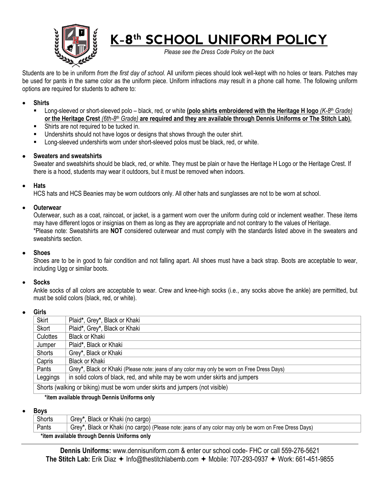

# **K-8th SCHOOL UNIFORM POLICY**

*Please see the Dress Code Policy on the back*

Students are to be in uniform *from the first day of school*. All uniform pieces should look well-kept with no holes or tears. Patches may be used for pants in the same color as the uniform piece. Uniform infractions *may* result in a phone call home. The following uniform options are required for students to adhere to:

## • **Shirts**

- Long-sleeved or short-sleeved polo black, red, or white **(polo shirts embroidered with the Heritage H logo** *(K-8th Grade)* **or the Heritage Crest** *(6th-8th Grade)* **are required and they are available through Dennis Uniforms or The Stitch Lab).**
- Shirts are not required to be tucked in.
- Undershirts should not have logos or designs that shows through the outer shirt.
- **EXECT** Long-sleeved undershirts worn under short-sleeved polos must be black, red, or white.

## • **Sweaters and sweatshirts**

Sweater and sweatshirts should be black, red, or white. They must be plain or have the Heritage H Logo or the Heritage Crest. If there is a hood, students may wear it outdoors, but it must be removed when indoors.

#### • **Hats**

HCS hats and HCS Beanies may be worn outdoors only. All other hats and sunglasses are not to be worn at school.

#### • **Outerwear**

Outerwear, such as a coat, raincoat, or jacket, is a garment worn over the uniform during cold or inclement weather. These items may have different logos or insignias on them as long as they are appropriate and not contrary to the values of Heritage. \*Please note: Sweatshirts are **NOT** considered outerwear and must comply with the standards listed above in the sweaters and sweatshirts section.

#### • **Shoes**

Shoes are to be in good to fair condition and not falling apart. All shoes must have a back strap. Boots are acceptable to wear, including Ugg or similar boots.

#### • **Socks**

Ankle socks of all colors are acceptable to wear. Crew and knee-high socks (i.e., any socks above the ankle) are permitted, but must be solid colors (black, red, or white).

#### • **Girls**

| .                                                                              |                                                                                             |  |
|--------------------------------------------------------------------------------|---------------------------------------------------------------------------------------------|--|
| Skirt                                                                          | Plaid*, Grey*, Black or Khaki                                                               |  |
| Skort                                                                          | Plaid*, Grey*, Black or Khaki                                                               |  |
| Culottes                                                                       | <b>Black or Khaki</b>                                                                       |  |
| Jumper                                                                         | Plaid*, Black or Khaki                                                                      |  |
| Shorts                                                                         | Grey*, Black or Khaki                                                                       |  |
| Capris                                                                         | <b>Black or Khaki</b>                                                                       |  |
| Pants                                                                          | Grey*, Black or Khaki (Please note: jeans of any color may only be worn on Free Dress Days) |  |
| Leggings                                                                       | in solid colors of black, red, and white may be worn under skirts and jumpers               |  |
| Shorts (walking or biking) must be worn under skirts and jumpers (not visible) |                                                                                             |  |

#### **\*item available through Dennis Uniforms only**

#### • **Boys**

|                                              | Shorts | Grey*, Black or Khaki (no cargo)                                                                       |
|----------------------------------------------|--------|--------------------------------------------------------------------------------------------------------|
|                                              | Pants  | Grey*, Black or Khaki (no cargo) (Please note: jeans of any color may only be worn on Free Dress Days) |
| *item available through Dennis Uniforms only |        |                                                                                                        |

**Dennis Uniforms:** www.dennisuniform.com & enter our school code- FHC or call 559-276-5621 **The Stitch Lab:** Erik Diaz → Info@thestitchlabemb.com → Mobile: 707-293-0937 → Work: 661-451-9855